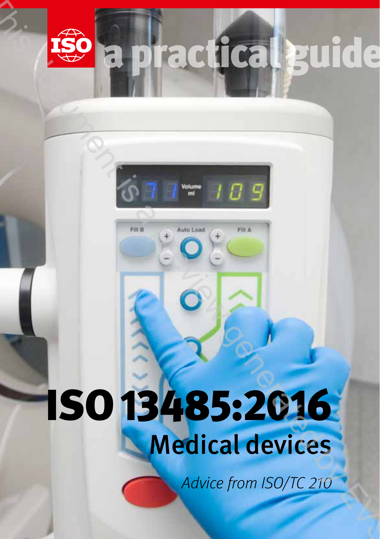



# ISO13485:2016 Medical devices

Advice from ISO/TC 210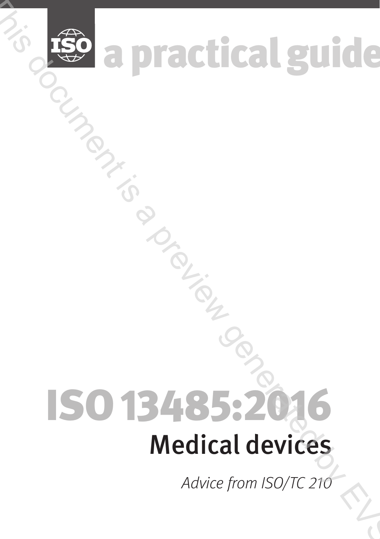

**159** a practical guide

# **ISO 13485:2** Medical devices TED a practical guide.<br>
Contraction guide<br>
September 1997-2016<br>
Medical devices<br>
Advice from ISO/TC 210

Advice from ISO/TC 210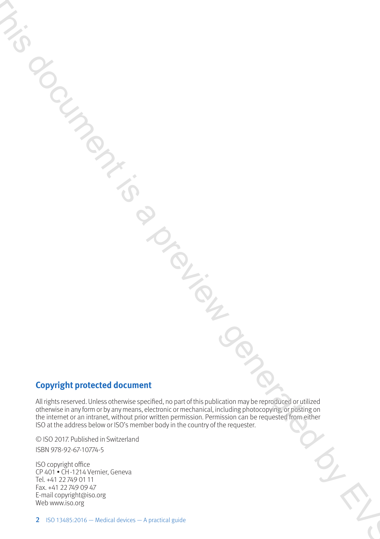#### **Copyright protected document**

All rights reserved. Unless otherwise specified, no part of this publication may be reproduced or utilized otherwise in any form or by any means, electronic or mechanical, including photocopying, or posting on the internet or an intranet, without prior written permission. Permission can be requested from either ISO at the address below or ISO's member body in the country of the requester. This document<br>
This document is a preview generated by  $\frac{1}{2}$ <br>
Copyright protected document<br>
Alterias area proposed by the signification of the specifical control of the specifical control of the<br>
Alterias area propose

© ISO 2017. Published in Switzerland ISBN 978-92-67-10774-5

ISO copyright office CP 401 • CH-1214 Vernier, Geneva Tel. +41 22 749 01 11 Fax. +41 22 749 09 47 E-mail copyright@iso.org Web www.iso.org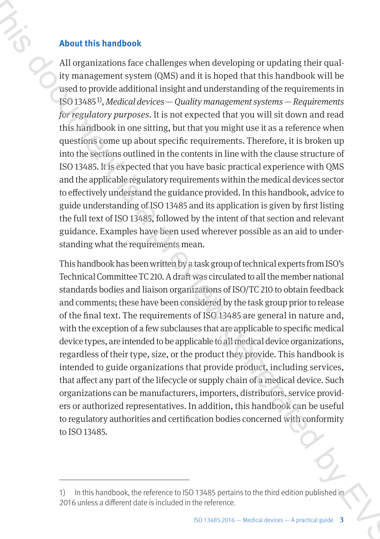#### **About this handbook**

All organizations face challenges when developing or updating their quality management system (QMS) and it is hoped that this handbook will be used to provide additional insight and understanding of the requirements in ISO 134851), *Medical devices — Quality management systems — Requirements for regulatory purposes*. It is not expected that you will sit down and read this handbook in one sitting, but that you might use it as a reference when questions come up about specific requirements. Therefore, it is broken up into the sections outlined in the contents in line with the clause structure of ISO 13485. It is expected that you have basic practical experience with QMS and the applicable regulatory requirements within the medical devices sector to effectively understand the guidance provided. In this handbook, advice to guide understanding of ISO 13485 and its application is given by first listing the full text of ISO 13485, followed by the intent of that section and relevant guidance. Examples have been used wherever possible as an aid to understanding what the requirements mean. About this handbook<br>
All organizations (acc challenges when developing or updating their qual<br>
(by monagement system) ((MS) and it is hoped that this handbook will be<br>
travel to provide deditional imagin and understanding

This handbook has been written by a task group of technical experts from ISO's Technical Committee TC 210. A draft was circulated to all the member national standards bodies and liaison organizations of ISO/TC 210 to obtain feedback and comments; these have been considered by the task group prior to release of the final text. The requirements of ISO 13485 are general in nature and, with the exception of a few subclauses that are applicable to specific medical device types, are intended to be applicable to all medical device organizations, regardless of their type, size, or the product they provide. This handbook is intended to guide organizations that provide product, including services, that affect any part of the lifecycle or supply chain of a medical device. Such organizations can be manufacturers, importers, distributors, service providers or authorized representatives. In addition, this handbook can be useful to regulatory authorities and certification bodies concerned with conformity to ISO 13485.

In this handbook, the reference to ISO 13485 pertains to the third edition published in 2016 unless a different date is included in the reference.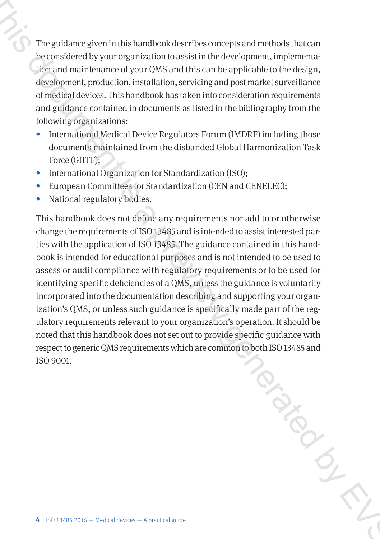The guidance given in this handbook describes concepts and methods that can be considered by your organization to assist in the development, implementation and maintenance of your QMS and this can be applicable to the design, development, production, installation, servicing and post market surveillance of medical devices. This handbook has taken into consideration requirements and guidance contained in documents as listed in the bibliography from the following organizations:

- **•** International Medical Device Regulators Forum (IMDRF) including those documents maintained from the disbanded Global Harmonization Task Force (GHTF);
- **•** International Organization for Standardization (ISO);
- **•** European Committees for Standardization (CEN and CENELEC);
- National regulatory bodies.

This handbook does not define any requirements nor add to or otherwise change the requirements of ISO 13485 and is intended to assist interested parties with the application of ISO 13485. The guidance contained in this handbook is intended for educational purposes and is not intended to be used to assess or audit compliance with regulatory requirements or to be used for identifying specific deficiencies of a QMS, unless the guidance is voluntarily incorporated into the documentation describing and supporting your organization's QMS, or unless such guidance is specifically made part of the regulatory requirements relevant to your organization's operation. It should be noted that this handbook does not set out to provide specific guidance with respect to generic QMS requirements which are common to both ISO 13485 and ISO 9001. The guidation given in this handbook describes concepts and methods that can<br>becomisted by your organization to assist in the development, implementate<br>timo and minitenance of your OMS and this can be applicable to the de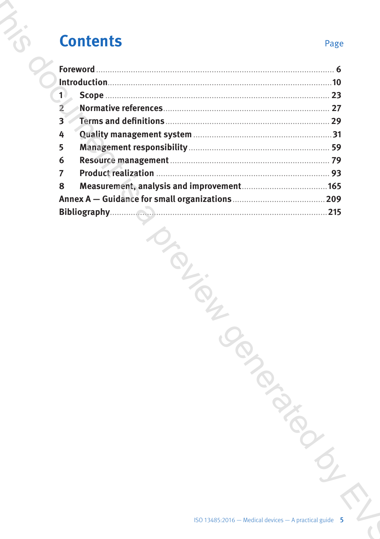# **Contents**

#### Page

| Foreword                   |  |
|----------------------------|--|
|                            |  |
| $1\cdot$                   |  |
| $\overline{2}$             |  |
| 3                          |  |
| 4                          |  |
| 5                          |  |
| 6                          |  |
| 7                          |  |
| 8                          |  |
|                            |  |
| 215<br><b>Bibliography</b> |  |
|                            |  |

Janco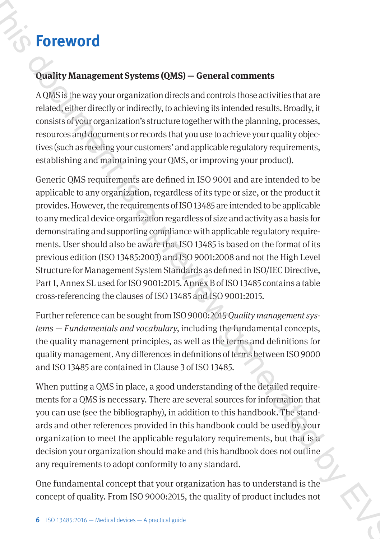# **Foreword**

#### **Quality Management Systems (QMS) — General comments**

A QMS is the way your organization directs and controls those activities that are related, either directly or indirectly, to achieving its intended results. Broadly, it consists of your organization's structure together with the planning, processes, resources and documents or records that you use to achieve your quality objectives (such as meeting your customers' and applicable regulatory requirements, establishing and maintaining your QMS, or improving your product).

<span id="page-6-0"></span>Generic QMS requirements are defined in ISO 9001 and are intended to be applicable to any organization, regardless of its type or size, or the product it provides. However, the requirements of ISO 13485 are intended to be applicable to any medical device organization regardless of size and activity as a basis for demonstrating and supporting compliance with applicable regulatory requirements. User should also be aware that ISO 13485 is based on the format of its previous edition (ISO 13485:2003) and ISO 9001:2008 and not the High Level Structure for Management System Standards as defined in ISO/IEC Directive, Part 1, Annex SL used for ISO 9001:2015. Annex B of ISO 13485 contains a table cross-referencing the clauses of ISO 13485 and ISO 9001:2015. **FOTEWOTIC**<br> **CONSUS (VACUS** THE CONSUS CONSUS CONSUS CONSUSSEDNIES AND MONETATIVE AND MONETATIVE CONSUSPAND TO A PROPRECISE AND MONETATIVE CONSUSPAND (CONSUS CONSUSPAND AND CONSUSPAND SERVICE TO A PROPRECISE CONSULTS CON

Further reference can be sought from ISO 9000:2015 *Quality management systems — Fundamentals and vocabulary*, including the fundamental concepts, the quality management principles, as well as the terms and definitions for quality management. Any differences in definitions of terms between ISO 9000 and ISO 13485 are contained in Clause 3 of ISO 13485.

When putting a QMS in place, a good understanding of the detailed requirements for a QMS is necessary. There are several sources for information that you can use (see the bibliography), in addition to this handbook. The standards and other references provided in this handbook could be used by your organization to meet the applicable regulatory requirements, but that is a decision your organization should make and this handbook does not outline any requirements to adopt conformity to any standard.

One fundamental concept that your organization has to understand is the concept of quality. From ISO 9000:2015, the quality of product includes not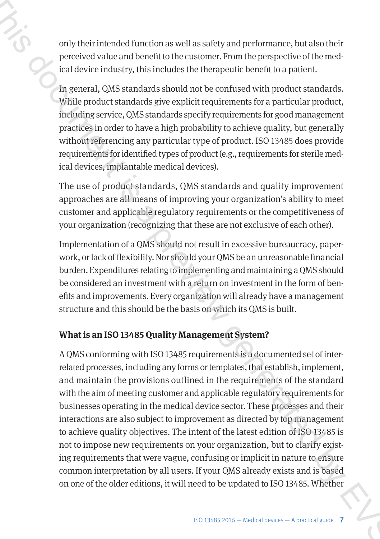only their intended function as well as safety and performance, but also their perceived value and benefit to the customer. From the perspective of the medical device industry, this includes the therapeutic benefit to a patient.

In general, QMS standards should not be confused with product standards. While product standards give explicit requirements for a particular product, including service, QMS standards specify requirements for good management practices in order to have a high probability to achieve quality, but generally without referencing any particular type of product. ISO 13485 does provide requirements for identified types of product (e.g., requirements for sterile medical devices, implantable medical devices).

The use of product standards, QMS standards and quality improvement approaches are all means of improving your organization's ability to meet customer and applicable regulatory requirements or the competitiveness of your organization (recognizing that these are not exclusive of each other).

Implementation of a QMS should not result in excessive bureaucracy, paperwork, or lack of flexibility. Nor should your QMS be an unreasonable financial burden. Expenditures relating to implementing and maintaining a QMS should be considered an investment with a return on investment in the form of benefits and improvements. Every organization will already have a management structure and this should be the basis on which its QMS is built.

#### **What is an ISO 13485 Quality Management System?**

A QMS conforming with ISO 13485 requirements is a documented set of interrelated processes, including any forms or templates, that establish, implement, and maintain the provisions outlined in the requirements of the standard with the aim of meeting customer and applicable regulatory requirements for businesses operating in the medical device sector. These processes and their interactions are also subject to improvement as directed by top management to achieve quality objectives. The intent of the latest edition of ISO 13485 is not to impose new requirements on your organization, but to clarify existing requirements that were vague, confusing or implicit in nature to ensure common interpretation by all users. If your QMS already exists and is based on one of the older editions, it will need to be updated to ISO 13485. Whether only their intended function as well as safety and performance, but also their<br>perceived value and benefit to the customer. From the perspective of the mediatric<br>functions is a deviation to the customer form the performin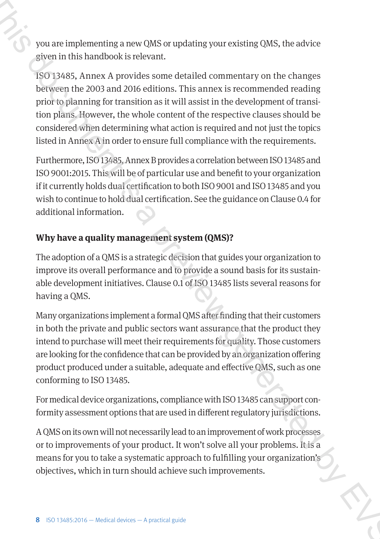you are implementing a new QMS or updating your existing QMS, the advice given in this handbook is relevant.

ISO 13485, Annex A provides some detailed commentary on the changes between the 2003 and 2016 editions. This annex is recommended reading prior to planning for transition as it will assist in the development of transition plans. However, the whole content of the respective clauses should be considered when determining what action is required and not just the topics listed in Annex A in order to ensure full compliance with the requirements. you are implementing a new QMS or updating your existing QMS, the advice<br>given in this handbook is relevant.<br>So T1488, Amer A / provides some detailed commentary on the charges<br>between the 2003 and 2016 utilities. This an

Furthermore, ISO 13485, Annex B provides a correlation between ISO 13485 and ISO 9001:2015. This will be of particular use and benefit to your organization if it currently holds dual certification to both ISO 9001 and ISO 13485 and you wish to continue to hold dual certification. See the guidance on Clause 0.4 for additional information.

#### **Why have a quality management system (QMS)?**

The adoption of a QMS is a strategic decision that guides your organization to improve its overall performance and to provide a sound basis for its sustainable development initiatives. Clause 0.1 of ISO 13485 lists several reasons for having a QMS.

Many organizations implement a formal QMS after finding that their customers in both the private and public sectors want assurance that the product they intend to purchase will meet their requirements for quality. Those customers are looking for the confidence that can be provided by an organization offering product produced under a suitable, adequate and effective QMS, such as one conforming to ISO 13485.

For medical device organizations, compliance with ISO 13485 can support conformity assessment options that are used in different regulatory jurisdictions.

A QMS on its own will not necessarily lead to an improvement of work processes or to improvements of your product. It won't solve all your problems. It is a means for you to take a systematic approach to fulfilling your organization's objectives, which in turn should achieve such improvements.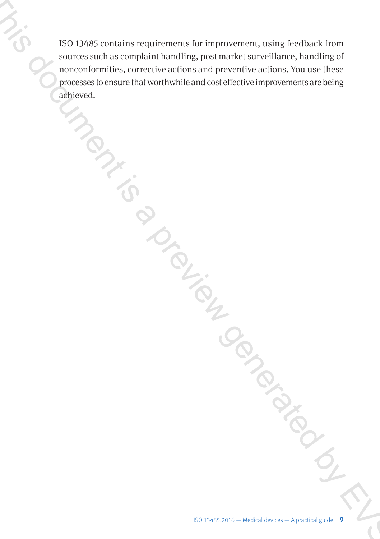ISO 13485 contains requirements for improvement, using feedback from sources such as complaint handling, post market surveillance, handling of nonconformities, corrective actions and preventive actions. You use these processes to ensure that worthwhile and cost effective improvements are being achieved. This document is a condition requirements for improvement, using freedback from<br>  $\epsilon$  processions a complaint handling, root matter sure<br>
the condition results and considerated are complements are being processes to ensure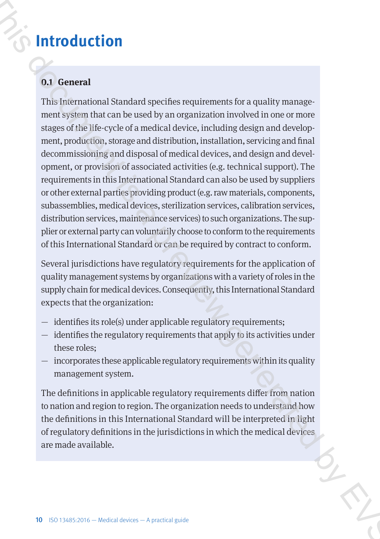# **Introduction**

#### **0.1 General**

<span id="page-10-0"></span>This International Standard specifies requirements for a quality management system that can be used by an organization involved in one or more stages of the life-cycle of a medical device, including design and development, production, storage and distribution, installation, servicing and final decommissioning and disposal of medical devices, and design and development, or provision of associated activities (e.g. technical support). The requirements in this International Standard can also be used by suppliers or other external parties providing product (e.g. raw materials, components, subassemblies, medical devices, sterilization services, calibration services, distribution services, maintenance services) to such organizations. The supplier or external party can voluntarily choose to conform to the requirements of this International Standard or can be required by contract to conform. **Instructure duration**<br> **Dal General**<br>
This discensional Simulation (stocha) experiments for a quality managements we<br>since of the silve cycle of a mediatal device, including designs and development, production, so<br>exage

Several jurisdictions have regulatory requirements for the application of quality management systems by organizations with a variety of roles in the supply chain for medical devices. Consequently, this International Standard expects that the organization:

- identifies its role(s) under applicable regulatory requirements;
- identifies the regulatory requirements that apply to its activities under these roles;
- incorporates these applicable regulatory requirements within its quality management system.

The definitions in applicable regulatory requirements differ from nation to nation and region to region. The organization needs to understand how the definitions in this International Standard will be interpreted in light of regulatory definitions in the jurisdictions in which the medical devices are made available.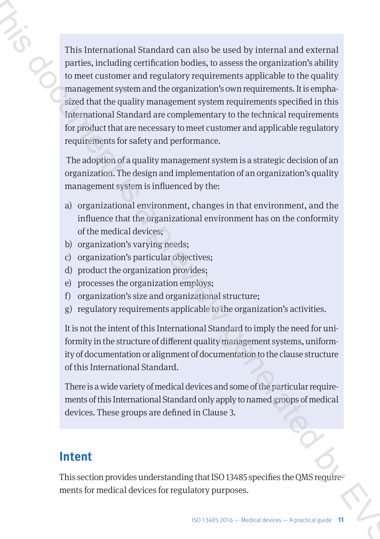This International Standard can also be used by internal and external parties, including certification bodies, to assess the organization's ability to meet customer and regulatory requirements applicable to the quality management system and the organization's own requirements. It is emphasized that the quality management system requirements specified in this International Standard are complementary to the technical requirements for product that are necessary to meet customer and applicable regulatory requirements for safety and performance. This Internutional Standard can also be used by internal and external<br>peartics, including certification bodies, to ussess the organization's shiftiy<br>to meet customer and regulatory requirements applicable to the quality<br>f

 The adoption of a quality management system is a strategic decision of an organization. The design and implementation of an organization's quality management system is influenced by the:

- a) organizational environment, changes in that environment, and the influence that the organizational environment has on the conformity of the medical devices;
- b) organization's varying needs;
- c) organization's particular objectives;
- d) product the organization provides;
- e) processes the organization employs;
- f) organization's size and organizational structure;
- g) regulatory requirements applicable to the organization's activities.

It is not the intent of this International Standard to imply the need for uniformity in the structure of different quality management systems, uniformity of documentation or alignment of documentation to the clause structure of this International Standard.

There is a wide variety of medical devices and some of the particular requirements of this International Standard only apply to named groups of medical devices. These groups are defined in Clause 3.

## **Intent**

This section provides understanding that ISO 13485 specifies the QMS requirements for medical devices for regulatory purposes.